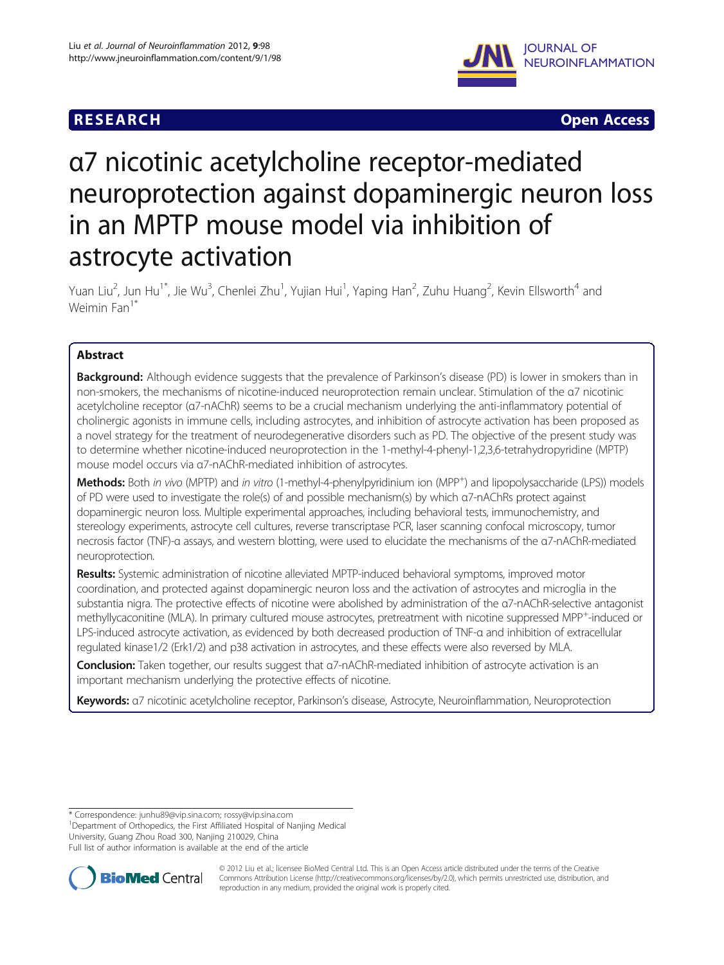## **RESEARCH CHINESE ARCH CHINESE ARCH CHINESE ARCH <b>CHINESE ARCH**



# α7 nicotinic acetylcholine receptor-mediated neuroprotection against dopaminergic neuron loss in an MPTP mouse model via inhibition of astrocyte activation

Yuan Liu<sup>2</sup>, Jun Hu<sup>1\*</sup>, Jie Wu<sup>3</sup>, Chenlei Zhu<sup>1</sup>, Yujian Hui<sup>1</sup>, Yaping Han<sup>2</sup>, Zuhu Huang<sup>2</sup>, Kevin Ellsworth<sup>4</sup> and Weimin Fan<sup>1\*</sup>

## Abstract

Background: Although evidence suggests that the prevalence of Parkinson's disease (PD) is lower in smokers than in non-smokers, the mechanisms of nicotine-induced neuroprotection remain unclear. Stimulation of the α7 nicotinic acetylcholine receptor (α7-nAChR) seems to be a crucial mechanism underlying the anti-inflammatory potential of cholinergic agonists in immune cells, including astrocytes, and inhibition of astrocyte activation has been proposed as a novel strategy for the treatment of neurodegenerative disorders such as PD. The objective of the present study was to determine whether nicotine-induced neuroprotection in the 1-methyl-4-phenyl-1,2,3,6-tetrahydropyridine (MPTP) mouse model occurs via α7-nAChR-mediated inhibition of astrocytes.

Methods: Both in vivo (MPTP) and in vitro (1-methyl-4-phenylpyridinium ion (MPP<sup>+</sup>) and lipopolysaccharide (LPS)) models of PD were used to investigate the role(s) of and possible mechanism(s) by which α7-nAChRs protect against dopaminergic neuron loss. Multiple experimental approaches, including behavioral tests, immunochemistry, and stereology experiments, astrocyte cell cultures, reverse transcriptase PCR, laser scanning confocal microscopy, tumor necrosis factor (TNF)-α assays, and western blotting, were used to elucidate the mechanisms of the α7-nAChR-mediated neuroprotection.

Results: Systemic administration of nicotine alleviated MPTP-induced behavioral symptoms, improved motor coordination, and protected against dopaminergic neuron loss and the activation of astrocytes and microglia in the substantia nigra. The protective effects of nicotine were abolished by administration of the α7-nAChR-selective antagonist methyllycaconitine (MLA). In primary cultured mouse astrocytes, pretreatment with nicotine suppressed MPP<sup>+</sup>-induced or LPS-induced astrocyte activation, as evidenced by both decreased production of TNF-α and inhibition of extracellular regulated kinase1/2 (Erk1/2) and p38 activation in astrocytes, and these effects were also reversed by MLA.

Conclusion: Taken together, our results suggest that α7-nAChR-mediated inhibition of astrocyte activation is an important mechanism underlying the protective effects of nicotine.

Keywords: a7 nicotinic acetylcholine receptor, Parkinson's disease, Astrocyte, Neuroinflammation, Neuroprotection

\* Correspondence: [junhu89@vip.sina.com;](mailto:junhu89@vip.sina.com) [rossy@vip.sina.com](mailto:rossy@vip.sina.com) <sup>1</sup>

<sup>1</sup>Department of Orthopedics, the First Affiliated Hospital of Nanjing Medical

University, Guang Zhou Road 300, Nanjing 210029, China

Full list of author information is available at the end of the article



© 2012 Liu et al.; licensee BioMed Central Ltd. This is an Open Access article distributed under the terms of the Creative Commons Attribution License (http://creativecommons.org/licenses/by/2.0), which permits unrestricted use, distribution, and reproduction in any medium, provided the original work is properly cited.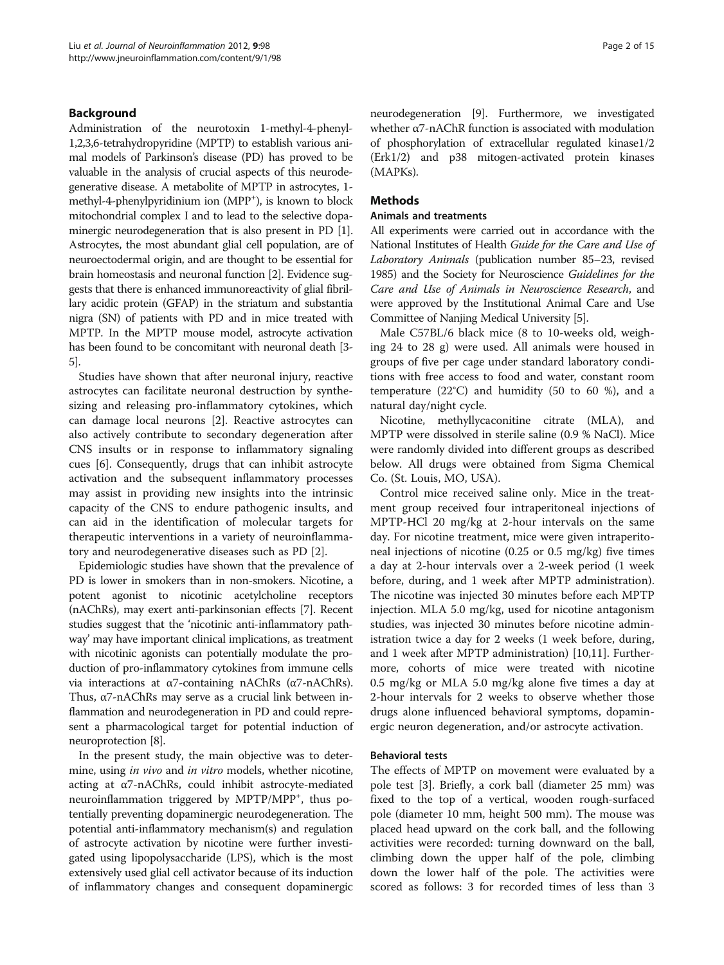## Background

Administration of the neurotoxin 1-methyl-4-phenyl-1,2,3,6-tetrahydropyridine (MPTP) to establish various animal models of Parkinson's disease (PD) has proved to be valuable in the analysis of crucial aspects of this neurodegenerative disease. A metabolite of MPTP in astrocytes, 1 methyl-4-phenylpyridinium ion (MPP<sup>+</sup>), is known to block mitochondrial complex I and to lead to the selective dopaminergic neurodegeneration that is also present in PD [[1](#page-13-0)]. Astrocytes, the most abundant glial cell population, are of neuroectodermal origin, and are thought to be essential for brain homeostasis and neuronal function [[2](#page-13-0)]. Evidence suggests that there is enhanced immunoreactivity of glial fibrillary acidic protein (GFAP) in the striatum and substantia nigra (SN) of patients with PD and in mice treated with MPTP. In the MPTP mouse model, astrocyte activation has been found to be concomitant with neuronal death [\[3](#page-13-0)- [5](#page-13-0)].

Studies have shown that after neuronal injury, reactive astrocytes can facilitate neuronal destruction by synthesizing and releasing pro-inflammatory cytokines, which can damage local neurons [\[2](#page-13-0)]. Reactive astrocytes can also actively contribute to secondary degeneration after CNS insults or in response to inflammatory signaling cues [[6\]](#page-13-0). Consequently, drugs that can inhibit astrocyte activation and the subsequent inflammatory processes may assist in providing new insights into the intrinsic capacity of the CNS to endure pathogenic insults, and can aid in the identification of molecular targets for therapeutic interventions in a variety of neuroinflammatory and neurodegenerative diseases such as PD [\[2](#page-13-0)].

Epidemiologic studies have shown that the prevalence of PD is lower in smokers than in non-smokers. Nicotine, a potent agonist to nicotinic acetylcholine receptors (nAChRs), may exert anti-parkinsonian effects [\[7\]](#page-13-0). Recent studies suggest that the 'nicotinic anti-inflammatory pathway' may have important clinical implications, as treatment with nicotinic agonists can potentially modulate the production of pro-inflammatory cytokines from immune cells via interactions at α7-containing nAChRs (α7-nAChRs). Thus, α7-nAChRs may serve as a crucial link between inflammation and neurodegeneration in PD and could represent a pharmacological target for potential induction of neuroprotection [\[8](#page-13-0)].

In the present study, the main objective was to determine, using *in vivo* and *in vitro* models, whether nicotine, acting at α7-nAChRs, could inhibit astrocyte-mediated neuroinflammation triggered by MPTP/MPP<sup>+</sup>, thus potentially preventing dopaminergic neurodegeneration. The potential anti-inflammatory mechanism(s) and regulation of astrocyte activation by nicotine were further investigated using lipopolysaccharide (LPS), which is the most extensively used glial cell activator because of its induction of inflammatory changes and consequent dopaminergic neurodegeneration [\[9](#page-13-0)]. Furthermore, we investigated whether α7-nAChR function is associated with modulation of phosphorylation of extracellular regulated kinase1/2 (Erk1/2) and p38 mitogen-activated protein kinases (MAPKs).

## **Methods**

#### Animals and treatments

All experiments were carried out in accordance with the National Institutes of Health Guide for the Care and Use of Laboratory Animals (publication number 85–23, revised 1985) and the Society for Neuroscience Guidelines for the Care and Use of Animals in Neuroscience Research, and were approved by the Institutional Animal Care and Use Committee of Nanjing Medical University [[5](#page-13-0)].

Male C57BL/6 black mice (8 to 10-weeks old, weighing 24 to 28 g) were used. All animals were housed in groups of five per cage under standard laboratory conditions with free access to food and water, constant room temperature  $(22^{\circ}C)$  and humidity (50 to 60 %), and a natural day/night cycle.

Nicotine, methyllycaconitine citrate (MLA), and MPTP were dissolved in sterile saline (0.9 % NaCl). Mice were randomly divided into different groups as described below. All drugs were obtained from Sigma Chemical Co. (St. Louis, MO, USA).

Control mice received saline only. Mice in the treatment group received four intraperitoneal injections of MPTP-HCl 20 mg/kg at 2-hour intervals on the same day. For nicotine treatment, mice were given intraperitoneal injections of nicotine (0.25 or 0.5 mg/kg) five times a day at 2-hour intervals over a 2-week period (1 week before, during, and 1 week after MPTP administration). The nicotine was injected 30 minutes before each MPTP injection. MLA 5.0 mg/kg, used for nicotine antagonism studies, was injected 30 minutes before nicotine administration twice a day for 2 weeks (1 week before, during, and 1 week after MPTP administration) [\[10,11](#page-13-0)]. Furthermore, cohorts of mice were treated with nicotine 0.5 mg/kg or MLA 5.0 mg/kg alone five times a day at 2-hour intervals for 2 weeks to observe whether those drugs alone influenced behavioral symptoms, dopaminergic neuron degeneration, and/or astrocyte activation.

## Behavioral tests

The effects of MPTP on movement were evaluated by a pole test [[3\]](#page-13-0). Briefly, a cork ball (diameter 25 mm) was fixed to the top of a vertical, wooden rough-surfaced pole (diameter 10 mm, height 500 mm). The mouse was placed head upward on the cork ball, and the following activities were recorded: turning downward on the ball, climbing down the upper half of the pole, climbing down the lower half of the pole. The activities were scored as follows: 3 for recorded times of less than 3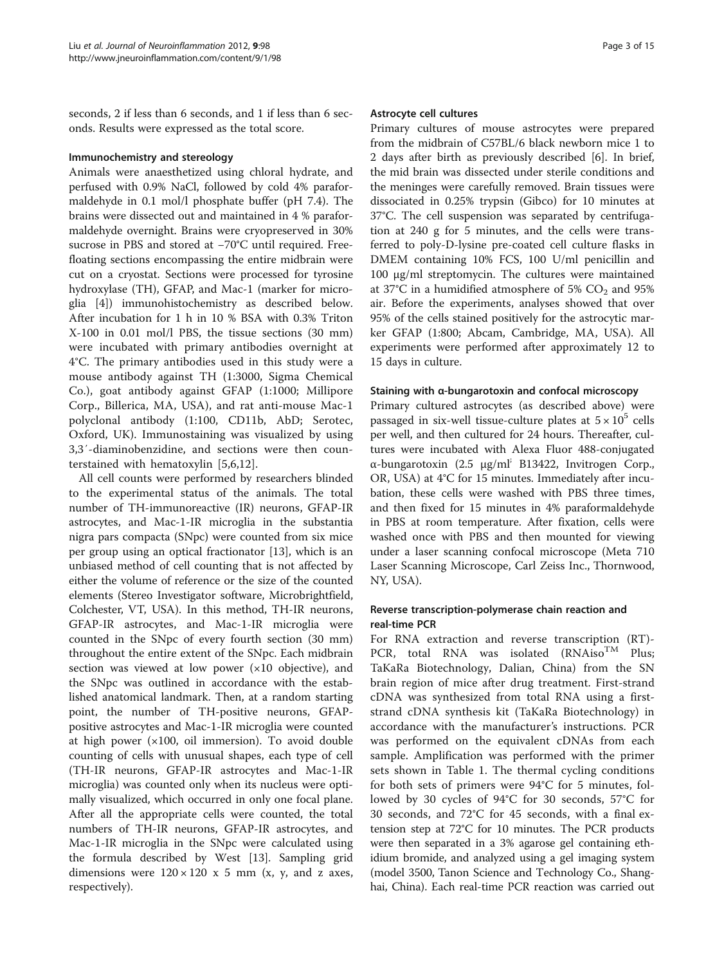seconds, 2 if less than 6 seconds, and 1 if less than 6 seconds. Results were expressed as the total score.

#### Immunochemistry and stereology

Animals were anaesthetized using chloral hydrate, and perfused with 0.9% NaCl, followed by cold 4% paraformaldehyde in 0.1 mol/l phosphate buffer (pH 7.4). The brains were dissected out and maintained in 4 % paraformaldehyde overnight. Brains were cryopreserved in 30% sucrose in PBS and stored at −70°C until required. Freefloating sections encompassing the entire midbrain were cut on a cryostat. Sections were processed for tyrosine hydroxylase (TH), GFAP, and Mac-1 (marker for microglia [[4](#page-13-0)]) immunohistochemistry as described below. After incubation for 1 h in 10 % BSA with 0.3% Triton X-100 in 0.01 mol/l PBS, the tissue sections (30 mm) were incubated with primary antibodies overnight at 4°C. The primary antibodies used in this study were a mouse antibody against TH (1:3000, Sigma Chemical Co.), goat antibody against GFAP (1:1000; Millipore Corp., Billerica, MA, USA), and rat anti-mouse Mac-1 polyclonal antibody (1:100, CD11b, AbD; Serotec, Oxford, UK). Immunostaining was visualized by using 3,3′-diaminobenzidine, and sections were then counterstained with hematoxylin [\[5](#page-13-0),[6,12\]](#page-13-0).

All cell counts were performed by researchers blinded to the experimental status of the animals. The total number of TH-immunoreactive (IR) neurons, GFAP-IR astrocytes, and Mac-1-IR microglia in the substantia nigra pars compacta (SNpc) were counted from six mice per group using an optical fractionator [[13](#page-13-0)], which is an unbiased method of cell counting that is not affected by either the volume of reference or the size of the counted elements (Stereo Investigator software, Microbrightfield, Colchester, VT, USA). In this method, TH-IR neurons, GFAP-IR astrocytes, and Mac-1-IR microglia were counted in the SNpc of every fourth section (30 mm) throughout the entire extent of the SNpc. Each midbrain section was viewed at low power  $(x10$  objective), and the SNpc was outlined in accordance with the established anatomical landmark. Then, at a random starting point, the number of TH-positive neurons, GFAPpositive astrocytes and Mac-1-IR microglia were counted at high power  $(x100, \text{ oil immersion})$ . To avoid double counting of cells with unusual shapes, each type of cell (TH-IR neurons, GFAP-IR astrocytes and Mac-1-IR microglia) was counted only when its nucleus were optimally visualized, which occurred in only one focal plane. After all the appropriate cells were counted, the total numbers of TH-IR neurons, GFAP-IR astrocytes, and Mac-1-IR microglia in the SNpc were calculated using the formula described by West [[13\]](#page-13-0). Sampling grid dimensions were  $120 \times 120 \times 5$  mm (x, y, and z axes, respectively).

#### Astrocyte cell cultures

Primary cultures of mouse astrocytes were prepared from the midbrain of C57BL/6 black newborn mice 1 to 2 days after birth as previously described [[6\]](#page-13-0). In brief, the mid brain was dissected under sterile conditions and the meninges were carefully removed. Brain tissues were dissociated in 0.25% trypsin (Gibco) for 10 minutes at 37°C. The cell suspension was separated by centrifugation at 240 g for 5 minutes, and the cells were transferred to poly-D-lysine pre-coated cell culture flasks in DMEM containing 10% FCS, 100 U/ml penicillin and 100 μg/ml streptomycin. The cultures were maintained at 37 $^{\circ}$ C in a humidified atmosphere of 5% CO<sub>2</sub> and 95% air. Before the experiments, analyses showed that over 95% of the cells stained positively for the astrocytic marker GFAP (1:800; Abcam, Cambridge, MA, USA). All experiments were performed after approximately 12 to 15 days in culture.

#### Staining with α-bungarotoxin and confocal microscopy

Primary cultured astrocytes (as described above) were passaged in six-well tissue-culture plates at  $5 \times 10^5$  cells per well, and then cultured for 24 hours. Thereafter, cultures were incubated with Alexa Fluor 488-conjugated α-bungarotoxin (2.5 μg/ml; B13422, Invitrogen Corp., OR, USA) at 4°C for 15 minutes. Immediately after incubation, these cells were washed with PBS three times, and then fixed for 15 minutes in 4% paraformaldehyde in PBS at room temperature. After fixation, cells were washed once with PBS and then mounted for viewing under a laser scanning confocal microscope (Meta 710 Laser Scanning Microscope, Carl Zeiss Inc., Thornwood, NY, USA).

## Reverse transcription-polymerase chain reaction and real-time PCR

For RNA extraction and reverse transcription (RT)- PCR, total RNA was isolated  $(RNAiso^{TM}$  Plus; TaKaRa Biotechnology, Dalian, China) from the SN brain region of mice after drug treatment. First-strand cDNA was synthesized from total RNA using a firststrand cDNA synthesis kit (TaKaRa Biotechnology) in accordance with the manufacturer's instructions. PCR was performed on the equivalent cDNAs from each sample. Amplification was performed with the primer sets shown in Table [1.](#page-3-0) The thermal cycling conditions for both sets of primers were 94°C for 5 minutes, followed by 30 cycles of 94°C for 30 seconds, 57°C for 30 seconds, and 72°C for 45 seconds, with a final extension step at 72°C for 10 minutes. The PCR products were then separated in a 3% agarose gel containing ethidium bromide, and analyzed using a gel imaging system (model 3500, Tanon Science and Technology Co., Shanghai, China). Each real-time PCR reaction was carried out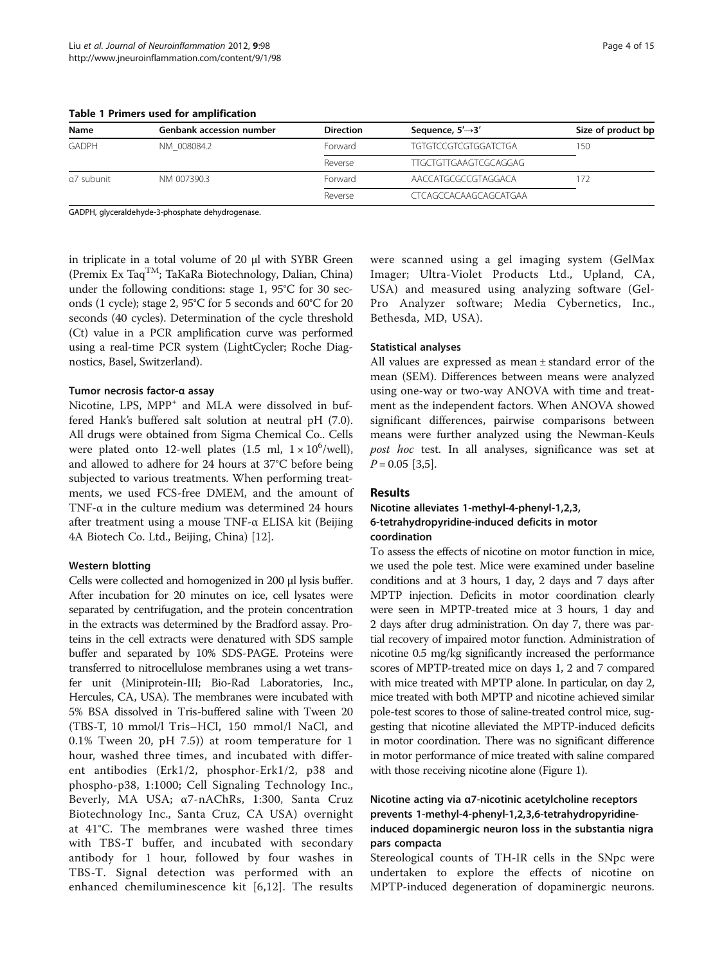<span id="page-3-0"></span>Table 1 Primers used for amplification

| Name         | <b>Genbank accession number</b> | <b>Direction</b> | Sequence, $5' \rightarrow 3'$ | Size of product bp |
|--------------|---------------------------------|------------------|-------------------------------|--------------------|
| <b>GADPH</b> | NM 008084.2                     | Forward          | <b>TGTGTCCGTCGTGGATCTGA</b>   | 150                |
|              |                                 | Reverse          | TTGCTGTTGAAGTCGCAGGAG         |                    |
| a7 subunit   | NM 007390.3                     | <b>Forward</b>   | AACCATGCGCCGTAGGACA           |                    |
|              |                                 | Reverse          | <b>CTCAGCCACAAGCAGCATGAA</b>  |                    |

GADPH, glyceraldehyde-3-phosphate dehydrogenase.

in triplicate in a total volume of 20 μl with SYBR Green (Premix Ex TaqTM; TaKaRa Biotechnology, Dalian, China) under the following conditions: stage 1, 95°C for 30 seconds (1 cycle); stage 2, 95°C for 5 seconds and 60°C for 20 seconds (40 cycles). Determination of the cycle threshold (Ct) value in a PCR amplification curve was performed using a real-time PCR system (LightCycler; Roche Diagnostics, Basel, Switzerland).

#### Tumor necrosis factor-α assay

Nicotine, LPS, MPP<sup>+</sup> and MLA were dissolved in buffered Hank's buffered salt solution at neutral pH (7.0). All drugs were obtained from Sigma Chemical Co.. Cells were plated onto 12-well plates  $(1.5 \text{ ml}, 1 \times 10^6/\text{well})$ , and allowed to adhere for 24 hours at 37°C before being subjected to various treatments. When performing treatments, we used FCS-free DMEM, and the amount of TNF- $\alpha$  in the culture medium was determined 24 hours after treatment using a mouse TNF-α ELISA kit (Beijing 4A Biotech Co. Ltd., Beijing, China) [\[12\]](#page-13-0).

#### Western blotting

Cells were collected and homogenized in 200 μl lysis buffer. After incubation for 20 minutes on ice, cell lysates were separated by centrifugation, and the protein concentration in the extracts was determined by the Bradford assay. Proteins in the cell extracts were denatured with SDS sample buffer and separated by 10% SDS-PAGE. Proteins were transferred to nitrocellulose membranes using a wet transfer unit (Miniprotein-III; Bio-Rad Laboratories, Inc., Hercules, CA, USA). The membranes were incubated with 5% BSA dissolved in Tris-buffered saline with Tween 20 (TBS-T, 10 mmol/l Tris–HCl, 150 mmol/l NaCl, and 0.1% Tween 20, pH 7.5)) at room temperature for 1 hour, washed three times, and incubated with different antibodies (Erk1/2, phosphor-Erk1/2, p38 and phospho-p38, 1:1000; Cell Signaling Technology Inc., Beverly, MA USA; α7-nAChRs, 1:300, Santa Cruz Biotechnology Inc., Santa Cruz, CA USA) overnight at 41°C. The membranes were washed three times with TBS-T buffer, and incubated with secondary antibody for 1 hour, followed by four washes in TBS-T. Signal detection was performed with an enhanced chemiluminescence kit [[6,12](#page-13-0)]. The results

were scanned using a gel imaging system (GelMax Imager; Ultra-Violet Products Ltd., Upland, CA, USA) and measured using analyzing software (Gel-Pro Analyzer software; Media Cybernetics, Inc., Bethesda, MD, USA).

#### Statistical analyses

All values are expressed as mean ± standard error of the mean (SEM). Differences between means were analyzed using one-way or two-way ANOVA with time and treatment as the independent factors. When ANOVA showed significant differences, pairwise comparisons between means were further analyzed using the Newman-Keuls post hoc test. In all analyses, significance was set at  $P = 0.05$  [\[3,5](#page-13-0)].

#### Results

## Nicotine alleviates 1-methyl-4-phenyl-1,2,3, 6-tetrahydropyridine-induced deficits in motor coordination

To assess the effects of nicotine on motor function in mice, we used the pole test. Mice were examined under baseline conditions and at 3 hours, 1 day, 2 days and 7 days after MPTP injection. Deficits in motor coordination clearly were seen in MPTP-treated mice at 3 hours, 1 day and 2 days after drug administration. On day 7, there was partial recovery of impaired motor function. Administration of nicotine 0.5 mg/kg significantly increased the performance scores of MPTP-treated mice on days 1, 2 and 7 compared with mice treated with MPTP alone. In particular, on day 2, mice treated with both MPTP and nicotine achieved similar pole-test scores to those of saline-treated control mice, suggesting that nicotine alleviated the MPTP-induced deficits in motor coordination. There was no significant difference in motor performance of mice treated with saline compared with those receiving nicotine alone (Figure [1](#page-4-0)).

## Nicotine acting via α7-nicotinic acetylcholine receptors prevents 1-methyl-4-phenyl-1,2,3,6-tetrahydropyridineinduced dopaminergic neuron loss in the substantia nigra pars compacta

Stereological counts of TH-IR cells in the SNpc were undertaken to explore the effects of nicotine on MPTP-induced degeneration of dopaminergic neurons.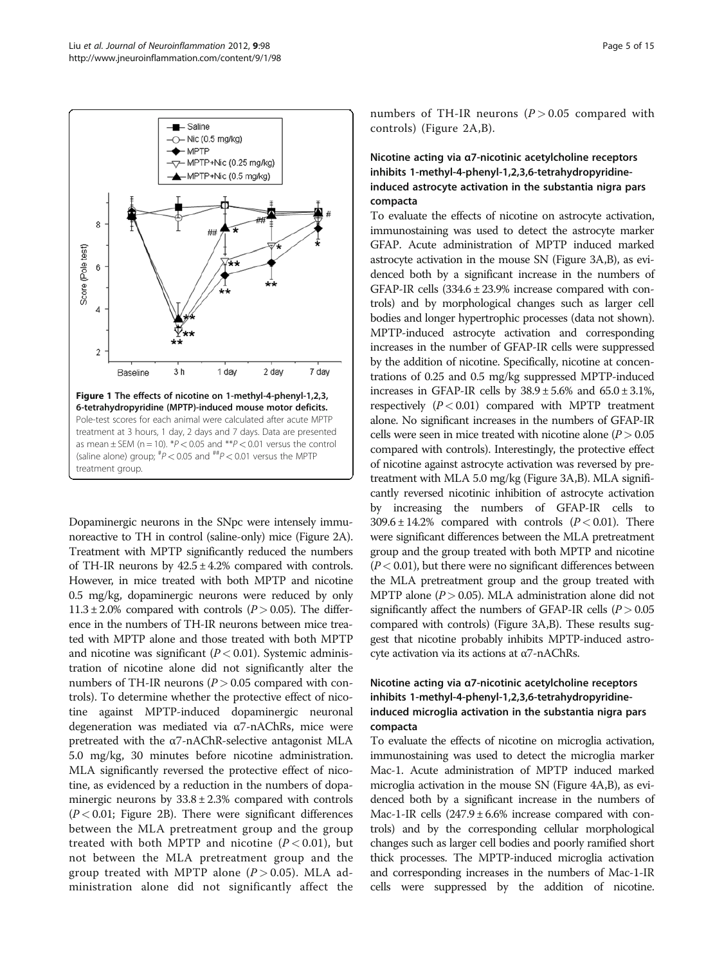<span id="page-4-0"></span>

Dopaminergic neurons in the SNpc were intensely immunoreactive to TH in control (saline-only) mice (Figure [2A](#page-5-0)). Treatment with MPTP significantly reduced the numbers of TH-IR neurons by  $42.5 \pm 4.2\%$  compared with controls. However, in mice treated with both MPTP and nicotine 0.5 mg/kg, dopaminergic neurons were reduced by only  $11.3 \pm 2.0\%$  compared with controls ( $P > 0.05$ ). The difference in the numbers of TH-IR neurons between mice treated with MPTP alone and those treated with both MPTP and nicotine was significant  $(P < 0.01)$ . Systemic administration of nicotine alone did not significantly alter the numbers of TH-IR neurons ( $P > 0.05$  compared with controls). To determine whether the protective effect of nicotine against MPTP-induced dopaminergic neuronal degeneration was mediated via α7-nAChRs, mice were pretreated with the  $\alpha$ 7-nAChR-selective antagonist MLA 5.0 mg/kg, 30 minutes before nicotine administration. MLA significantly reversed the protective effect of nicotine, as evidenced by a reduction in the numbers of dopaminergic neurons by  $33.8 \pm 2.3\%$  compared with controls  $(P < 0.01$ ; Figure [2B\)](#page-5-0). There were significant differences between the MLA pretreatment group and the group treated with both MPTP and nicotine  $(P < 0.01)$ , but not between the MLA pretreatment group and the group treated with MPTP alone  $(P > 0.05)$ . MLA administration alone did not significantly affect the numbers of TH-IR neurons  $(P > 0.05$  compared with controls) (Figure [2A,B\)](#page-5-0).

## Nicotine acting via α7-nicotinic acetylcholine receptors inhibits 1-methyl-4-phenyl-1,2,3,6-tetrahydropyridineinduced astrocyte activation in the substantia nigra pars compacta

To evaluate the effects of nicotine on astrocyte activation, immunostaining was used to detect the astrocyte marker GFAP. Acute administration of MPTP induced marked astrocyte activation in the mouse SN (Figure [3A,B\)](#page-6-0), as evidenced both by a significant increase in the numbers of GFAP-IR cells  $(334.6 \pm 23.9\%)$  increase compared with controls) and by morphological changes such as larger cell bodies and longer hypertrophic processes (data not shown). MPTP-induced astrocyte activation and corresponding increases in the number of GFAP-IR cells were suppressed by the addition of nicotine. Specifically, nicotine at concentrations of 0.25 and 0.5 mg/kg suppressed MPTP-induced increases in GFAP-IR cells by  $38.9 \pm 5.6\%$  and  $65.0 \pm 3.1\%$ , respectively  $(P < 0.01)$  compared with MPTP treatment alone. No significant increases in the numbers of GFAP-IR cells were seen in mice treated with nicotine alone  $(P > 0.05)$ compared with controls). Interestingly, the protective effect of nicotine against astrocyte activation was reversed by pretreatment with MLA 5.0 mg/kg (Figure [3A,B](#page-6-0)). MLA significantly reversed nicotinic inhibition of astrocyte activation by increasing the numbers of GFAP-IR cells to  $309.6 \pm 14.2\%$  compared with controls ( $P < 0.01$ ). There were significant differences between the MLA pretreatment group and the group treated with both MPTP and nicotine  $(P < 0.01)$ , but there were no significant differences between the MLA pretreatment group and the group treated with MPTP alone ( $P > 0.05$ ). MLA administration alone did not significantly affect the numbers of GFAP-IR cells  $(P > 0.05)$ compared with controls) (Figure [3A,B](#page-6-0)). These results suggest that nicotine probably inhibits MPTP-induced astrocyte activation via its actions at α7-nAChRs.

## Nicotine acting via α7-nicotinic acetylcholine receptors inhibits 1-methyl-4-phenyl-1,2,3,6-tetrahydropyridineinduced microglia activation in the substantia nigra pars compacta

To evaluate the effects of nicotine on microglia activation, immunostaining was used to detect the microglia marker Mac-1. Acute administration of MPTP induced marked microglia activation in the mouse SN (Figure [4A,B](#page-7-0)), as evidenced both by a significant increase in the numbers of Mac-1-IR cells  $(247.9 \pm 6.6\%$  increase compared with controls) and by the corresponding cellular morphological changes such as larger cell bodies and poorly ramified short thick processes. The MPTP-induced microglia activation and corresponding increases in the numbers of Mac-1-IR cells were suppressed by the addition of nicotine.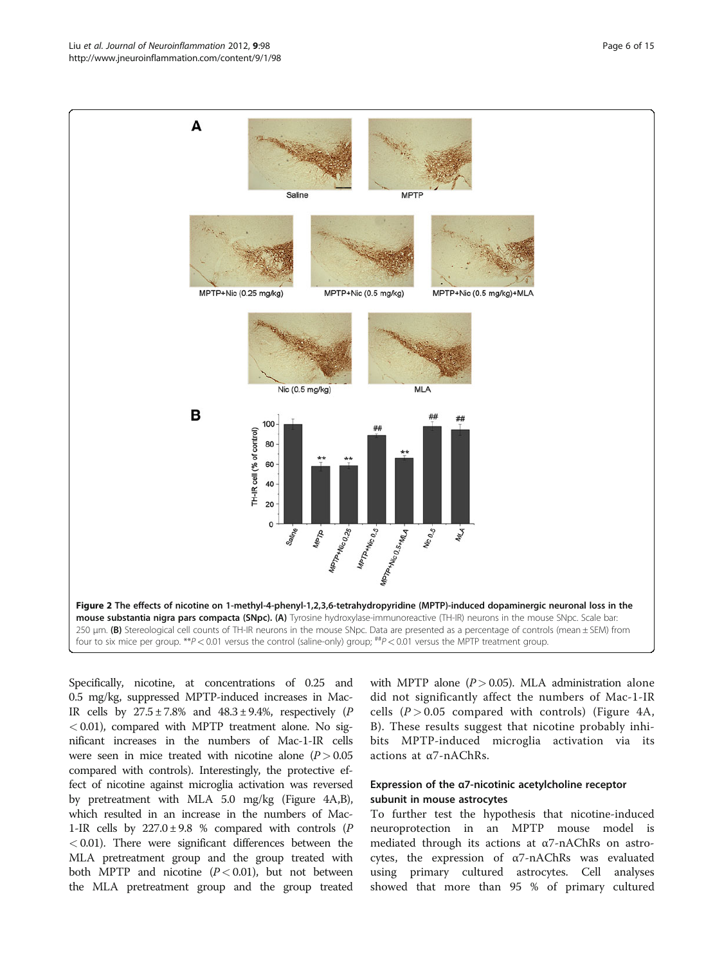<span id="page-5-0"></span>

Specifically, nicotine, at concentrations of 0.25 and 0.5 mg/kg, suppressed MPTP-induced increases in Mac-IR cells by  $27.5 \pm 7.8\%$  and  $48.3 \pm 9.4\%$ , respectively (P  $< 0.01$ ), compared with MPTP treatment alone. No significant increases in the numbers of Mac-1-IR cells were seen in mice treated with nicotine alone  $(P > 0.05$ compared with controls). Interestingly, the protective effect of nicotine against microglia activation was reversed by pretreatment with MLA 5.0 mg/kg (Figure [4A,B](#page-7-0)), which resulted in an increase in the numbers of Mac-1-IR cells by  $227.0 \pm 9.8$  % compared with controls (P  $< 0.01$ ). There were significant differences between the MLA pretreatment group and the group treated with both MPTP and nicotine  $(P < 0.01)$ , but not between the MLA pretreatment group and the group treated with MPTP alone  $(P > 0.05)$ . MLA administration alone did not significantly affect the numbers of Mac-1-IR cells  $(P > 0.05$  compared with controls) (Figure [4A,](#page-7-0) [B\)](#page-7-0). These results suggest that nicotine probably inhibits MPTP-induced microglia activation via its actions at α7-nAChRs.

## Expression of the α7-nicotinic acetylcholine receptor subunit in mouse astrocytes

To further test the hypothesis that nicotine-induced neuroprotection in an MPTP mouse model is mediated through its actions at α7-nAChRs on astrocytes, the expression of α7-nAChRs was evaluated using primary cultured astrocytes. Cell analyses showed that more than 95 % of primary cultured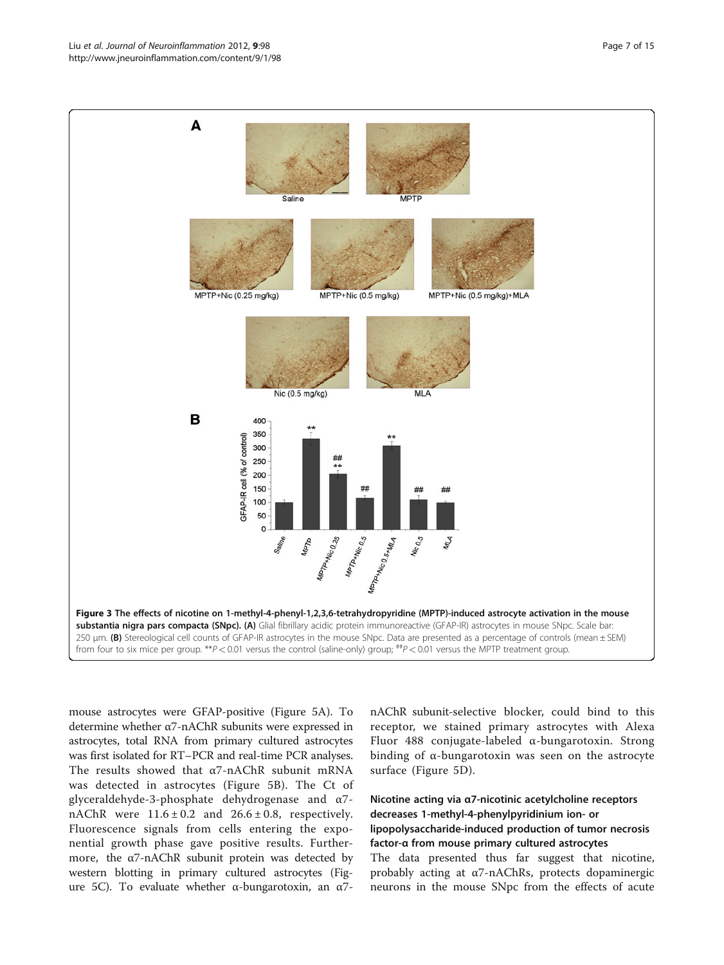<span id="page-6-0"></span>

mouse astrocytes were GFAP-positive (Figure [5A\)](#page-8-0). To determine whether α7-nAChR subunits were expressed in astrocytes, total RNA from primary cultured astrocytes was first isolated for RT–PCR and real-time PCR analyses. The results showed that  $\alpha$ 7-nAChR subunit mRNA was detected in astrocytes (Figure [5B](#page-8-0)). The Ct of glyceraldehyde-3-phosphate dehydrogenase and α7 nAChR were  $11.6 \pm 0.2$  and  $26.6 \pm 0.8$ , respectively. Fluorescence signals from cells entering the exponential growth phase gave positive results. Furthermore, the  $\alpha$ 7-nAChR subunit protein was detected by western blotting in primary cultured astrocytes (Figure [5C\)](#page-8-0). To evaluate whether α-bungarotoxin, an α7-

nAChR subunit-selective blocker, could bind to this receptor, we stained primary astrocytes with Alexa Fluor 488 conjugate-labeled α-bungarotoxin. Strong binding of α-bungarotoxin was seen on the astrocyte surface (Figure [5D](#page-8-0)).

## Nicotine acting via α7-nicotinic acetylcholine receptors decreases 1-methyl-4-phenylpyridinium ion- or lipopolysaccharide-induced production of tumor necrosis factor-α from mouse primary cultured astrocytes The data presented thus far suggest that nicotine,

probably acting at α7-nAChRs, protects dopaminergic neurons in the mouse SNpc from the effects of acute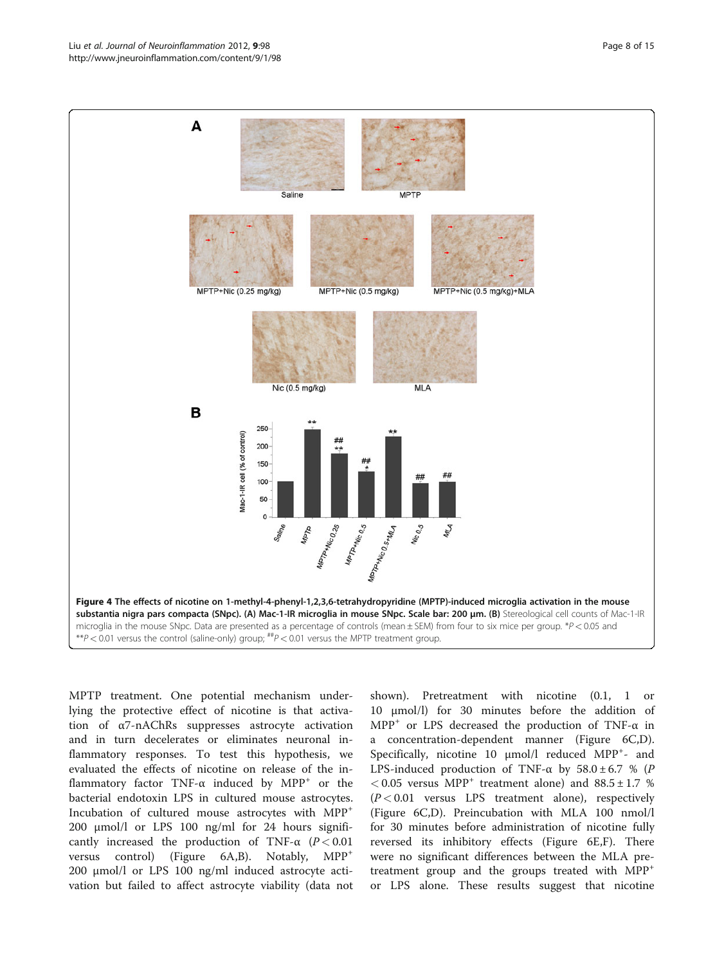#### <span id="page-7-0"></span>Liu et al. Journal of Neuroinflammation 2012, 9:98 Page 8 of 15 http://www.jneuroinflammation.com/content/9/1/98



MPTP treatment. One potential mechanism underlying the protective effect of nicotine is that activation of α7-nAChRs suppresses astrocyte activation and in turn decelerates or eliminates neuronal inflammatory responses. To test this hypothesis, we evaluated the effects of nicotine on release of the inflammatory factor TNF- $\alpha$  induced by MPP<sup>+</sup> or the bacterial endotoxin LPS in cultured mouse astrocytes. Incubation of cultured mouse astrocytes with MPP<sup>+</sup> 200 μmol/l or LPS 100 ng/ml for 24 hours significantly increased the production of TNF- $\alpha$  (P < 0.01) versus control) (Figure [6A,B](#page-9-0)). Notably, MPP<sup>+</sup> 200 μmol/l or LPS 100 ng/ml induced astrocyte activation but failed to affect astrocyte viability (data not

shown). Pretreatment with nicotine (0.1, 1 or 10 μmol/l) for 30 minutes before the addition of MPP<sup>+</sup> or LPS decreased the production of TNF- $\alpha$  in a concentration-dependent manner (Figure [6C,D](#page-9-0)). Specifically, nicotine 10 μmol/l reduced MPP<sup>+</sup>- and LPS-induced production of TNF- $\alpha$  by 58.0 ± 6.7 % (P  $< 0.05$  versus MPP<sup>+</sup> treatment alone) and  $88.5 \pm 1.7$  %  $(P < 0.01$  versus LPS treatment alone), respectively (Figure [6C,D](#page-9-0)). Preincubation with MLA 100 nmol/l for 30 minutes before administration of nicotine fully reversed its inhibitory effects (Figure [6E,F](#page-9-0)). There were no significant differences between the MLA pretreatment group and the groups treated with  $MPP^+$ or LPS alone. These results suggest that nicotine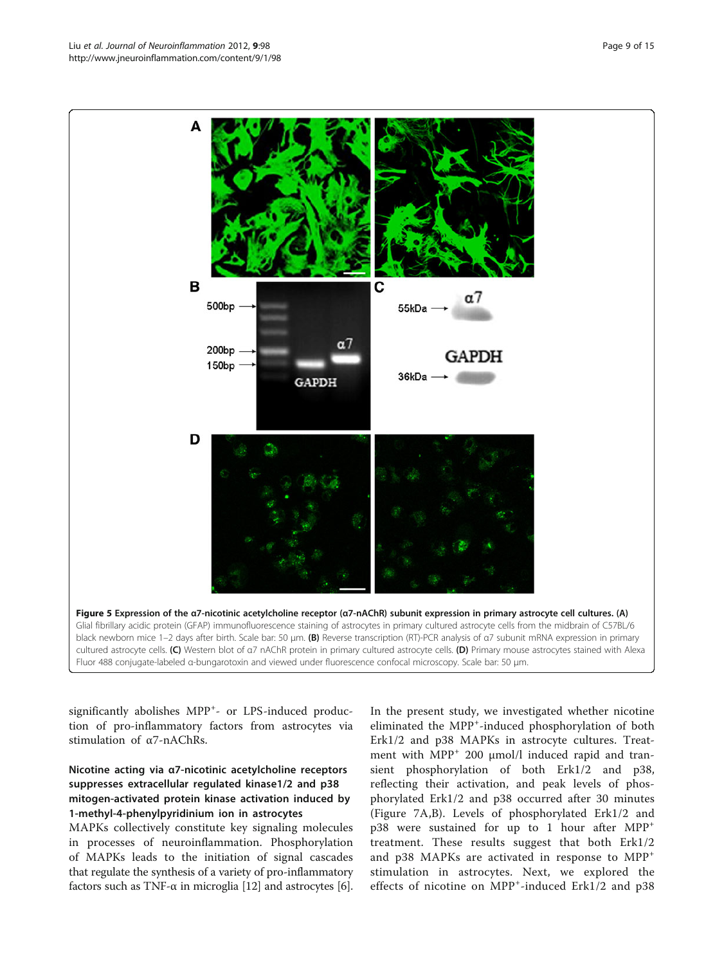significantly abolishes MPP<sup>+</sup>- or LPS-induced production of pro-inflammatory factors from astrocytes via stimulation of α7-nAChRs.

## Nicotine acting via α7-nicotinic acetylcholine receptors suppresses extracellular regulated kinase1/2 and p38 mitogen-activated protein kinase activation induced by 1-methyl-4-phenylpyridinium ion in astrocytes

MAPKs collectively constitute key signaling molecules in processes of neuroinflammation. Phosphorylation of MAPKs leads to the initiation of signal cascades that regulate the synthesis of a variety of pro-inflammatory factors such as TNF- $\alpha$  in microglia [\[12\]](#page-13-0) and astrocytes [[6](#page-13-0)]. In the present study, we investigated whether nicotine eliminated the MPP<sup>+</sup>-induced phosphorylation of both Erk1/2 and p38 MAPKs in astrocyte cultures. Treatment with  $MPP<sup>+</sup> 200 \mu mol/l$  induced rapid and transient phosphorylation of both Erk1/2 and p38, reflecting their activation, and peak levels of phosphorylated Erk1/2 and p38 occurred after 30 minutes (Figure [7A,B\)](#page-10-0). Levels of phosphorylated Erk1/2 and p38 were sustained for up to 1 hour after MPP<sup>+</sup> treatment. These results suggest that both Erk1/2 and p38 MAPKs are activated in response to MPP<sup>+</sup> stimulation in astrocytes. Next, we explored the effects of nicotine on MPP<sup>+</sup>-induced Erk1/2 and p38

<span id="page-8-0"></span>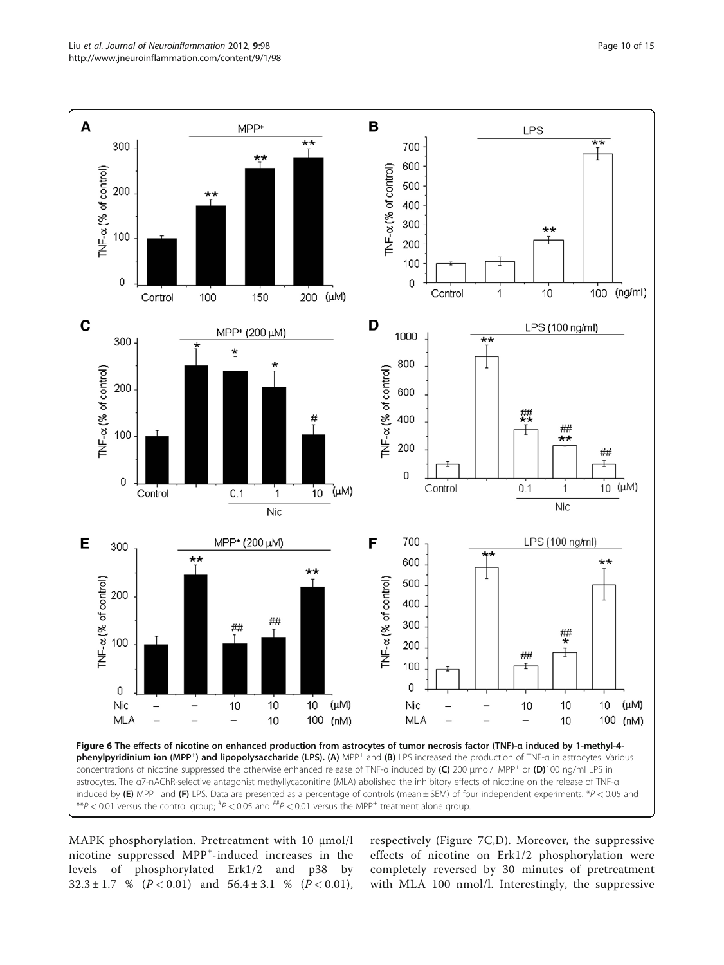<span id="page-9-0"></span>

\*\*P < 0.01 versus the control group;  $^{tp}$  < 0.05 and  $^{ttp}$  < 0.01 versus the MPP<sup>+</sup> treatment alone group.

MAPK phosphorylation. Pretreatment with 10 μmol/l nicotine suppressed MPP<sup>+</sup>-induced increases in the levels of phosphorylated Erk1/2 and p38 by  $32.3 \pm 1.7$  % ( $P < 0.01$ ) and  $56.4 \pm 3.1$  % ( $P < 0.01$ ), respectively (Figure [7C,D](#page-10-0)). Moreover, the suppressive effects of nicotine on Erk1/2 phosphorylation were completely reversed by 30 minutes of pretreatment with MLA 100 nmol/l. Interestingly, the suppressive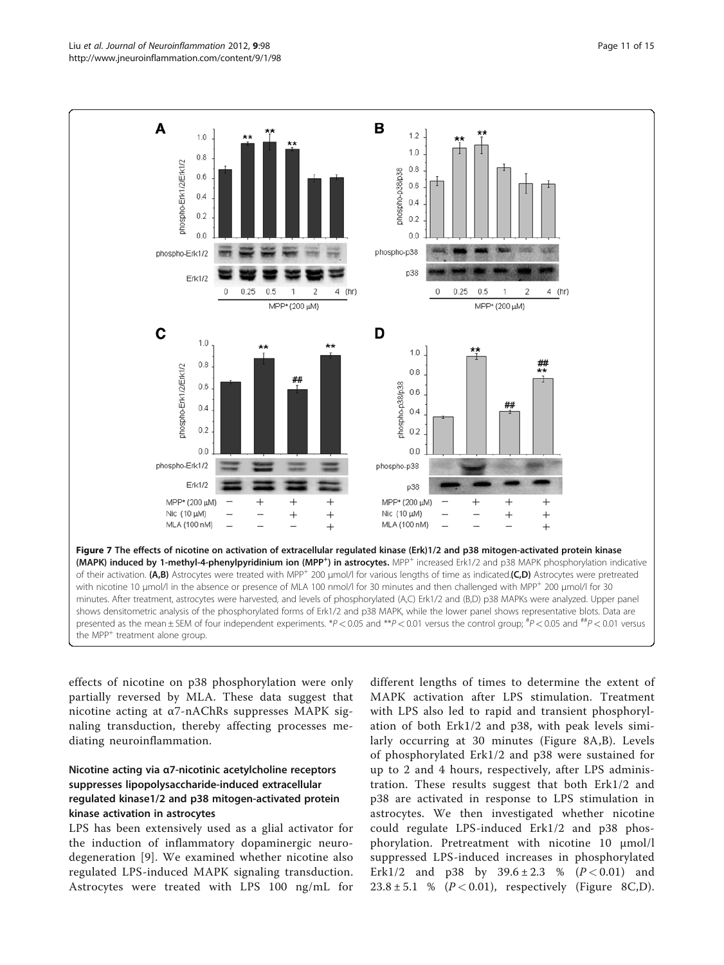<span id="page-10-0"></span>

effects of nicotine on p38 phosphorylation were only partially reversed by MLA. These data suggest that nicotine acting at α7-nAChRs suppresses MAPK signaling transduction, thereby affecting processes mediating neuroinflammation.

## Nicotine acting via α7-nicotinic acetylcholine receptors suppresses lipopolysaccharide-induced extracellular regulated kinase1/2 and p38 mitogen-activated protein kinase activation in astrocytes

LPS has been extensively used as a glial activator for the induction of inflammatory dopaminergic neurodegeneration [[9](#page-13-0)]. We examined whether nicotine also regulated LPS-induced MAPK signaling transduction. Astrocytes were treated with LPS 100 ng/mL for

different lengths of times to determine the extent of MAPK activation after LPS stimulation. Treatment with LPS also led to rapid and transient phosphorylation of both Erk1/2 and p38, with peak levels similarly occurring at 30 minutes (Figure [8A,B](#page-11-0)). Levels of phosphorylated Erk1/2 and p38 were sustained for up to 2 and 4 hours, respectively, after LPS administration. These results suggest that both Erk1/2 and p38 are activated in response to LPS stimulation in astrocytes. We then investigated whether nicotine could regulate LPS-induced Erk1/2 and p38 phosphorylation. Pretreatment with nicotine 10 μmol/l suppressed LPS-induced increases in phosphorylated Erk1/2 and p38 by  $39.6 \pm 2.3$  % ( $P < 0.01$ ) and  $23.8 \pm 5.1$  % ( $P < 0.01$ ), respectively (Figure [8C,D](#page-11-0)).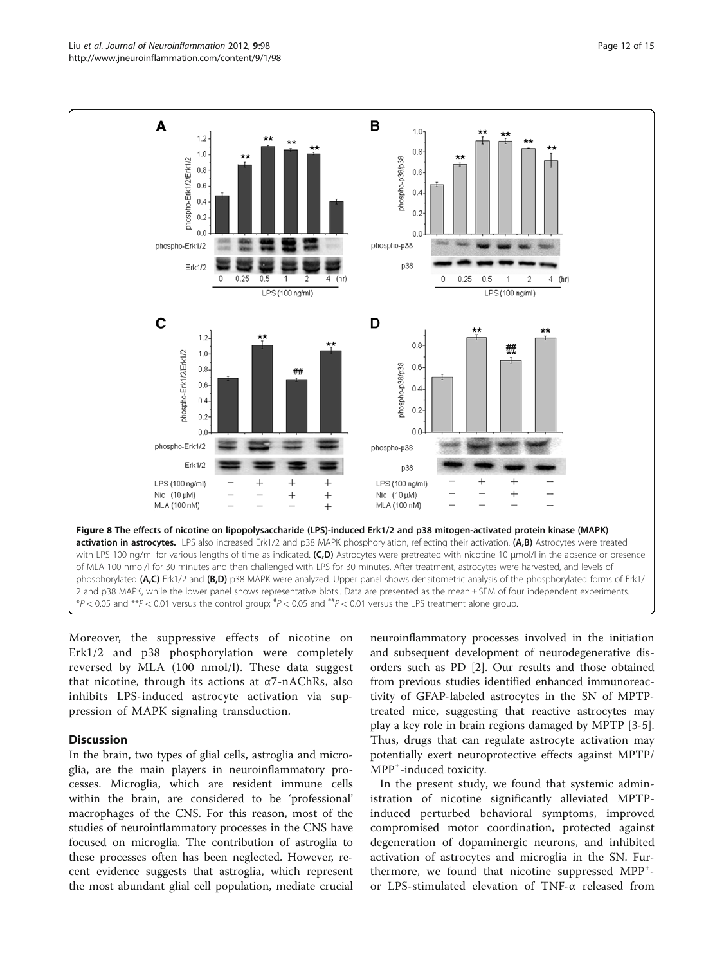<span id="page-11-0"></span>

Moreover, the suppressive effects of nicotine on Erk1/2 and p38 phosphorylation were completely reversed by MLA (100 nmol/l). These data suggest that nicotine, through its actions at  $\alpha$ 7-nAChRs, also inhibits LPS-induced astrocyte activation via suppression of MAPK signaling transduction.

### **Discussion**

In the brain, two types of glial cells, astroglia and microglia, are the main players in neuroinflammatory processes. Microglia, which are resident immune cells within the brain, are considered to be 'professional' macrophages of the CNS. For this reason, most of the studies of neuroinflammatory processes in the CNS have focused on microglia. The contribution of astroglia to these processes often has been neglected. However, recent evidence suggests that astroglia, which represent the most abundant glial cell population, mediate crucial neuroinflammatory processes involved in the initiation and subsequent development of neurodegenerative disorders such as PD [[2\]](#page-13-0). Our results and those obtained from previous studies identified enhanced immunoreactivity of GFAP-labeled astrocytes in the SN of MPTPtreated mice, suggesting that reactive astrocytes may play a key role in brain regions damaged by MPTP [[3-5](#page-13-0)]. Thus, drugs that can regulate astrocyte activation may potentially exert neuroprotective effects against MPTP/ MPP<sup>+</sup> -induced toxicity.

In the present study, we found that systemic administration of nicotine significantly alleviated MPTPinduced perturbed behavioral symptoms, improved compromised motor coordination, protected against degeneration of dopaminergic neurons, and inhibited activation of astrocytes and microglia in the SN. Furthermore, we found that nicotine suppressed MPP<sup>+</sup>or LPS-stimulated elevation of TNF-α released from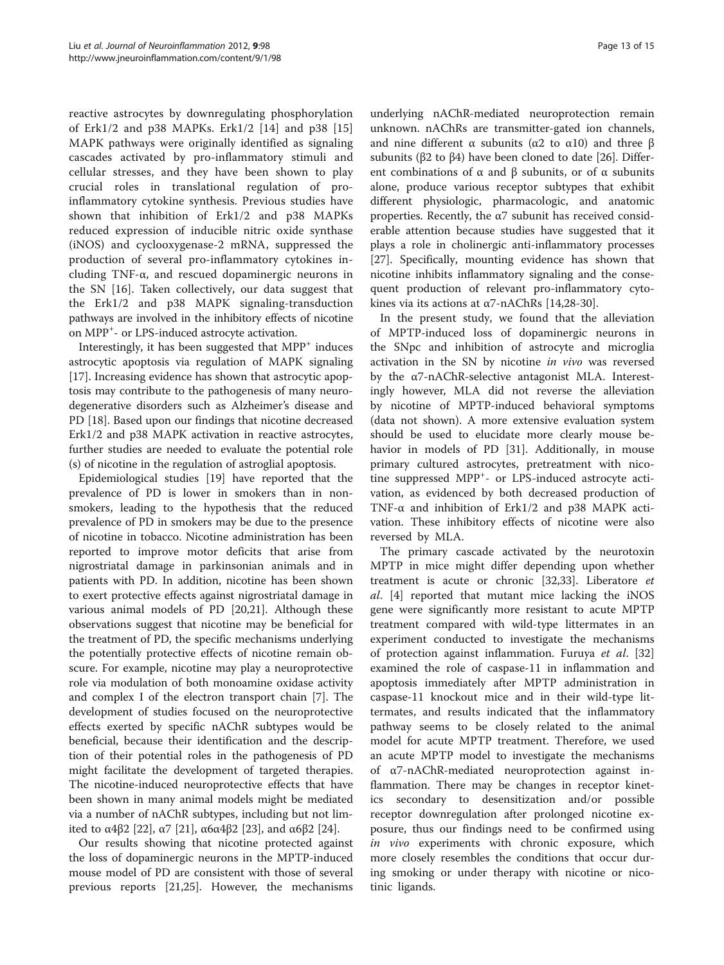reactive astrocytes by downregulating phosphorylation of Erk1/2 and p38 MAPKs. Erk1/2 [[14\]](#page-13-0) and p38 [\[15](#page-13-0)] MAPK pathways were originally identified as signaling cascades activated by pro-inflammatory stimuli and cellular stresses, and they have been shown to play crucial roles in translational regulation of proinflammatory cytokine synthesis. Previous studies have shown that inhibition of Erk1/2 and p38 MAPKs reduced expression of inducible nitric oxide synthase (iNOS) and cyclooxygenase-2 mRNA, suppressed the production of several pro-inflammatory cytokines including TNF-α, and rescued dopaminergic neurons in the SN [[16\]](#page-13-0). Taken collectively, our data suggest that the Erk1/2 and p38 MAPK signaling-transduction pathways are involved in the inhibitory effects of nicotine on MPP+ - or LPS-induced astrocyte activation.

Interestingly, it has been suggested that MPP<sup>+</sup> induces astrocytic apoptosis via regulation of MAPK signaling [[17\]](#page-13-0). Increasing evidence has shown that astrocytic apoptosis may contribute to the pathogenesis of many neurodegenerative disorders such as Alzheimer's disease and PD [\[18](#page-13-0)]. Based upon our findings that nicotine decreased Erk1/2 and p38 MAPK activation in reactive astrocytes, further studies are needed to evaluate the potential role (s) of nicotine in the regulation of astroglial apoptosis.

Epidemiological studies [[19](#page-13-0)] have reported that the prevalence of PD is lower in smokers than in nonsmokers, leading to the hypothesis that the reduced prevalence of PD in smokers may be due to the presence of nicotine in tobacco. Nicotine administration has been reported to improve motor deficits that arise from nigrostriatal damage in parkinsonian animals and in patients with PD. In addition, nicotine has been shown to exert protective effects against nigrostriatal damage in various animal models of PD [\[20,21](#page-13-0)]. Although these observations suggest that nicotine may be beneficial for the treatment of PD, the specific mechanisms underlying the potentially protective effects of nicotine remain obscure. For example, nicotine may play a neuroprotective role via modulation of both monoamine oxidase activity and complex I of the electron transport chain [[7\]](#page-13-0). The development of studies focused on the neuroprotective effects exerted by specific nAChR subtypes would be beneficial, because their identification and the description of their potential roles in the pathogenesis of PD might facilitate the development of targeted therapies. The nicotine-induced neuroprotective effects that have been shown in many animal models might be mediated via a number of nAChR subtypes, including but not lim-ited to α4β2 [[22](#page-13-0)], α7 [\[21\]](#page-13-0), α6α4β2 [\[23\]](#page-13-0), and α6β2 [[24](#page-13-0)].

Our results showing that nicotine protected against the loss of dopaminergic neurons in the MPTP-induced mouse model of PD are consistent with those of several previous reports [\[21,25\]](#page-13-0). However, the mechanisms

underlying nAChR-mediated neuroprotection remain unknown. nAChRs are transmitter-gated ion channels, and nine different α subunits (α2 to α10) and three β subunits (β2 to β4) have been cloned to date [[26](#page-13-0)]. Different combinations of  $\alpha$  and  $\beta$  subunits, or of  $\alpha$  subunits alone, produce various receptor subtypes that exhibit different physiologic, pharmacologic, and anatomic properties. Recently, the  $\alpha$ 7 subunit has received considerable attention because studies have suggested that it plays a role in cholinergic anti-inflammatory processes [[27\]](#page-13-0). Specifically, mounting evidence has shown that nicotine inhibits inflammatory signaling and the consequent production of relevant pro-inflammatory cytokines via its actions at α7-nAChRs [\[14](#page-13-0)[,28-30](#page-14-0)].

In the present study, we found that the alleviation of MPTP-induced loss of dopaminergic neurons in the SNpc and inhibition of astrocyte and microglia activation in the SN by nicotine in vivo was reversed by the α7-nAChR-selective antagonist MLA. Interestingly however, MLA did not reverse the alleviation by nicotine of MPTP-induced behavioral symptoms (data not shown). A more extensive evaluation system should be used to elucidate more clearly mouse behavior in models of PD [\[31](#page-14-0)]. Additionally, in mouse primary cultured astrocytes, pretreatment with nicotine suppressed MPP<sup>+</sup>- or LPS-induced astrocyte activation, as evidenced by both decreased production of TNF-α and inhibition of Erk1/2 and p38 MAPK activation. These inhibitory effects of nicotine were also reversed by MLA.

The primary cascade activated by the neurotoxin MPTP in mice might differ depending upon whether treatment is acute or chronic [[32,33\]](#page-14-0). Liberatore et al. [[4\]](#page-13-0) reported that mutant mice lacking the iNOS gene were significantly more resistant to acute MPTP treatment compared with wild-type littermates in an experiment conducted to investigate the mechanisms of protection against inflammation. Furuya et al. [[32](#page-14-0)] examined the role of caspase-11 in inflammation and apoptosis immediately after MPTP administration in caspase-11 knockout mice and in their wild-type littermates, and results indicated that the inflammatory pathway seems to be closely related to the animal model for acute MPTP treatment. Therefore, we used an acute MPTP model to investigate the mechanisms of α7-nAChR-mediated neuroprotection against inflammation. There may be changes in receptor kinetics secondary to desensitization and/or possible receptor downregulation after prolonged nicotine exposure, thus our findings need to be confirmed using in vivo experiments with chronic exposure, which more closely resembles the conditions that occur during smoking or under therapy with nicotine or nicotinic ligands.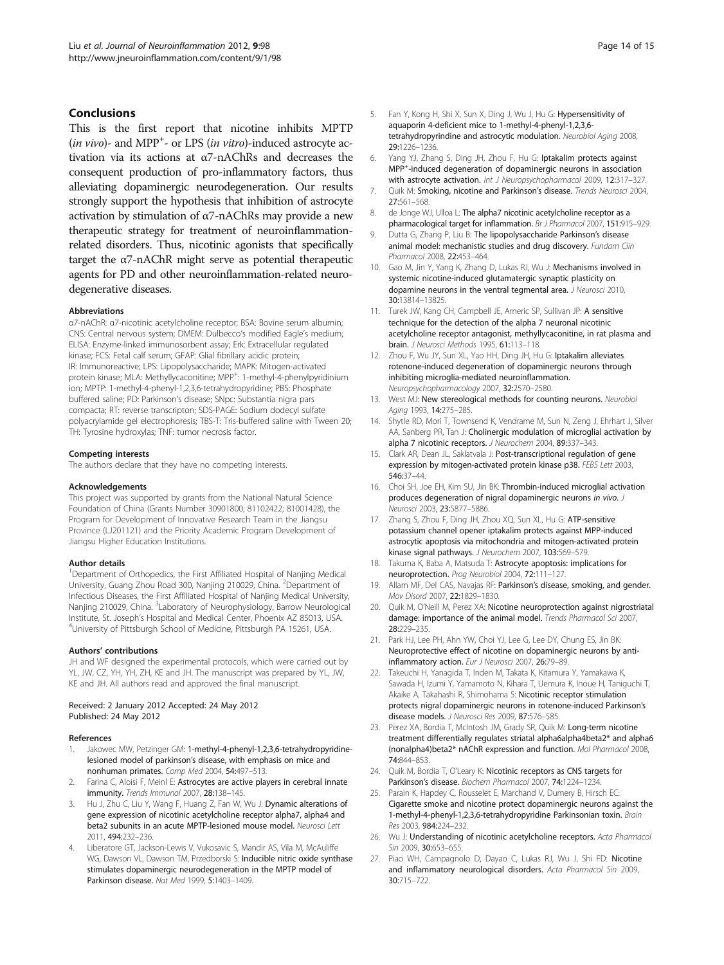### <span id="page-13-0"></span>**Conclusions**

This is the first report that nicotine inhibits MPTP  $(in vivo)$ - and MPP<sup>+</sup>- or LPS  $(in vitro)$ -induced astrocyte activation via its actions at α7-nAChRs and decreases the consequent production of pro-inflammatory factors, thus alleviating dopaminergic neurodegeneration. Our results strongly support the hypothesis that inhibition of astrocyte activation by stimulation of α7-nAChRs may provide a new therapeutic strategy for treatment of neuroinflammationrelated disorders. Thus, nicotinic agonists that specifically target the α7-nAChR might serve as potential therapeutic agents for PD and other neuroinflammation-related neurodegenerative diseases.

#### Abbreviations

α7-nAChR: α7-nicotinic acetylcholine receptor; BSA: Bovine serum albumin; CNS: Central nervous system; DMEM: Dulbecco's modified Eagle's medium; ELISA: Enzyme-linked immunosorbent assay; Erk: Extracellular regulated kinase; FCS: Fetal calf serum; GFAP: Glial fibrillary acidic protein; IR: Immunoreactive; LPS: Lipopolysaccharide; MAPK: Mitogen-activated protein kinase; MLA: Methyllycaconitine; MPP<sup>+</sup>: 1-methyl-4-phenylpyridinium ion; MPTP: 1-methyl-4-phenyl-1,2,3,6-tetrahydropyridine; PBS: Phosphate buffered saline; PD: Parkinson's disease; SNpc: Substantia nigra pars compacta; RT: reverse transcripton; SDS-PAGE: Sodium dodecyl sulfate polyacrylamide gel electrophoresis; TBS-T: Tris-buffered saline with Tween 20; TH: Tyrosine hydroxylas; TNF: tumor necrosis factor.

#### Competing interests

The authors declare that they have no competing interests.

#### Acknowledgements

This project was supported by grants from the National Natural Science Foundation of China (Grants Number 30901800; 81102422; 81001428), the Program for Development of Innovative Research Team in the Jiangsu Province (LJ201121) and the Priority Academic Program Development of Jiangsu Higher Education Institutions.

#### Author details

<sup>1</sup>Department of Orthopedics, the First Affiliated Hospital of Nanjing Medical University, Guang Zhou Road 300, Nanjing 210029, China. <sup>2</sup>Department of Infectious Diseases, the First Affiliated Hospital of Nanjing Medical University, Nanjing 210029, China. <sup>3</sup>Laboratory of Neurophysiology, Barrow Neurological Institute, St. Joseph's Hospital and Medical Center, Phoenix AZ 85013, USA. <sup>4</sup> <sup>4</sup>University of Pittsburgh School of Medicine, Pittsburgh PA 15261, USA.

#### Authors' contributions

JH and WF designed the experimental protocols, which were carried out by YL, JW, CZ, YH, YH, ZH, KE and JH. The manuscript was prepared by YL, JW, KE and JH. All authors read and approved the final manuscript.

#### Received: 2 January 2012 Accepted: 24 May 2012 Published: 24 May 2012

#### References

- 1. Jakowec MW, Petzinger GM: 1-methyl-4-phenyl-1,2,3,6-tetrahydropyridinelesioned model of parkinson's disease, with emphasis on mice and nonhuman primates. Comp Med 2004, 54:497–513.
- 2. Farina C, Aloisi F, Meinl E: Astrocytes are active players in cerebral innate immunity. Trends Immunol 2007, 28:138-145.
- Hu J, Zhu C, Liu Y, Wang F, Huang Z, Fan W, Wu J: Dynamic alterations of gene expression of nicotinic acetylcholine receptor alpha7, alpha4 and beta2 subunits in an acute MPTP-lesioned mouse model. Neurosci Lett 2011, 494:232–236.
- 4. Liberatore GT, Jackson-Lewis V, Vukosavic S, Mandir AS, Vila M, McAuliffe WG, Dawson VL, Dawson TM, Przedborski S: Inducible nitric oxide synthase stimulates dopaminergic neurodegeneration in the MPTP model of Parkinson disease. Nat Med 1999, 5:1403–1409.
- Fan Y, Kong H, Shi X, Sun X, Ding J, Wu J, Hu G: Hypersensitivity of aquaporin 4-deficient mice to 1-methyl-4-phenyl-1,2,3,6 tetrahydropyrindine and astrocytic modulation. Neurobiol Aging 2008, 29:1226–1236.
- 6. Yang YJ, Zhang S, Ding JH, Zhou F, Hu G: Iptakalim protects against MPP+ -induced degeneration of dopaminergic neurons in association with astrocyte activation. Int J Neuropsychopharmacol 2009, 12:317-327.
- 7. Quik M: Smoking, nicotine and Parkinson's disease. Trends Neurosci 2004, 27:561–568.
- 8. de Jonge WJ, Ulloa L: The alpha7 nicotinic acetylcholine receptor as a pharmacological target for inflammation. Br J Pharmacol 2007, 151:915–929.
- 9. Dutta G, Zhang P, Liu B: The lipopolysaccharide Parkinson's disease animal model: mechanistic studies and drug discovery. Fundam Clin Pharmacol 2008, 22:453–464.
- 10. Gao M, Jin Y, Yang K, Zhang D, Lukas RJ, Wu J: Mechanisms involved in systemic nicotine-induced glutamatergic synaptic plasticity on dopamine neurons in the ventral tegmental area. J Neurosci 2010, 30:13814–13825.
- 11. Turek JW, Kang CH, Campbell JE, Arneric SP, Sullivan JP: A sensitive technique for the detection of the alpha 7 neuronal nicotinic acetylcholine receptor antagonist, methyllycaconitine, in rat plasma and brain. J Neurosci Methods 1995, 61:113–118.
- 12. Zhou F, Wu JY, Sun XL, Yao HH, Ding JH, Hu G: Iptakalim alleviates rotenone-induced degeneration of dopaminergic neurons through inhibiting microglia-mediated neuroinflammation. Neuropsychopharmacology 2007, 32:2570–2580.
- 13. West MJ: New stereological methods for counting neurons. Neurobiol Aging 1993, 14:275–285.
- 14. Shytle RD, Mori T, Townsend K, Vendrame M, Sun N, Zeng J, Ehrhart J, Silver AA, Sanberg PR, Tan J: Cholinergic modulation of microglial activation by alpha 7 nicotinic receptors. J Neurochem 2004, 89:337–343.
- 15. Clark AR, Dean JL, Saklatvala J: Post-transcriptional regulation of gene expression by mitogen-activated protein kinase p38. FEBS Lett 2003, 546:37–44.
- 16. Choi SH, Joe EH, Kim SU, Jin BK: Thrombin-induced microglial activation produces degeneration of nigral dopaminergic neurons in vivo. J Neurosci 2003, 23:5877–5886.
- 17. Zhang S, Zhou F, Ding JH, Zhou XQ, Sun XL, Hu G: ATP-sensitive potassium channel opener iptakalim protects against MPP-induced astrocytic apoptosis via mitochondria and mitogen-activated protein kinase signal pathways. J Neurochem 2007, 103:569-579.
- 18. Takuma K, Baba A, Matsuda T: Astrocyte apoptosis: implications for neuroprotection. Prog Neurobiol 2004, 72:111–127.
- 19. Allam MF, Del CAS, Navajas RF: Parkinson's disease, smoking, and gender. Mov Disord 2007, 22:1829–1830.
- 20. Quik M, O'Neill M, Perez XA: Nicotine neuroprotection against nigrostriatal damage: importance of the animal model. Trends Pharmacol Sci 2007, 28:229–235.
- 21. Park HJ, Lee PH, Ahn YW, Choi YJ, Lee G, Lee DY, Chung ES, Jin BK: Neuroprotective effect of nicotine on dopaminergic neurons by antiinflammatory action. Eur J Neurosci 2007, 26:79–89.
- 22. Takeuchi H, Yanagida T, Inden M, Takata K, Kitamura Y, Yamakawa K, Sawada H, Izumi Y, Yamamoto N, Kihara T, Uemura K, Inoue H, Taniguchi T, Akaike A, Takahashi R, Shimohama S: Nicotinic receptor stimulation protects nigral dopaminergic neurons in rotenone-induced Parkinson's disease models. J Neurosci Res 2009, 87:576–585.
- 23. Perez XA, Bordia T, McIntosh JM, Grady SR, Quik M: Long-term nicotine treatment differentially regulates striatal alpha6alpha4beta2\* and alpha6 (nonalpha4)beta2\* nAChR expression and function. Mol Pharmacol 2008, 74:844–853.
- 24. Quik M, Bordia T, O'Leary K: Nicotinic receptors as CNS targets for Parkinson's disease. Biochem Pharmacol 2007, 74:1224–1234.
- 25. Parain K, Hapdey C, Rousselet E, Marchand V, Dumery B, Hirsch EC: Cigarette smoke and nicotine protect dopaminergic neurons against the 1-methyl-4-phenyl-1,2,3,6-tetrahydropyridine Parkinsonian toxin. Brain Res 2003, 984:224–232.
- 26. Wu J: Understanding of nicotinic acetylcholine receptors. Acta Pharmacol Sin 2009, 30:653-655.
- 27. Piao WH, Campagnolo D, Dayao C, Lukas RJ, Wu J, Shi FD: Nicotine and inflammatory neurological disorders. Acta Pharmacol Sin 2009, 30:715–722.